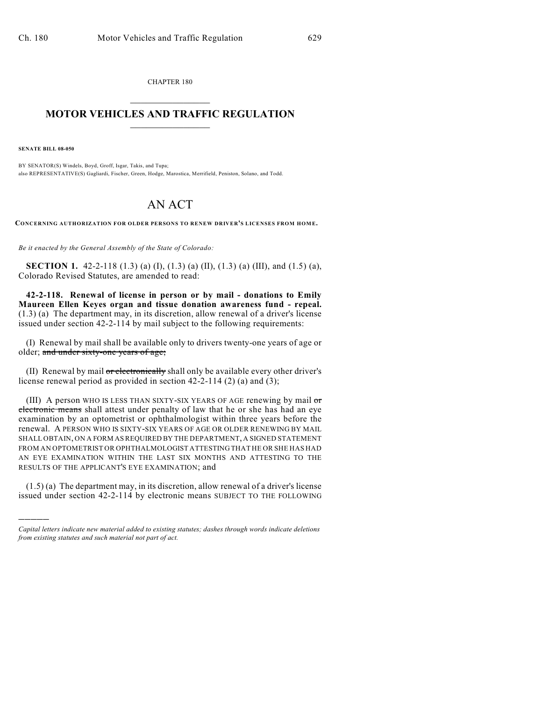CHAPTER 180  $\mathcal{L}_\text{max}$  . The set of the set of the set of the set of the set of the set of the set of the set of the set of the set of the set of the set of the set of the set of the set of the set of the set of the set of the set

## **MOTOR VEHICLES AND TRAFFIC REGULATION**  $\frac{1}{2}$  ,  $\frac{1}{2}$  ,  $\frac{1}{2}$  ,  $\frac{1}{2}$  ,  $\frac{1}{2}$  ,  $\frac{1}{2}$  ,  $\frac{1}{2}$  ,  $\frac{1}{2}$

**SENATE BILL 08-050**

)))))

BY SENATOR(S) Windels, Boyd, Groff, Isgar, Takis, and Tupa; also REPRESENTATIVE(S) Gagliardi, Fischer, Green, Hodge, Marostica, Merrifield, Peniston, Solano, and Todd.

## AN ACT

**CONCERNING AUTHORIZATION FOR OLDER PERSONS TO RENEW DRIVER'S LICENSES FROM HOM E.**

*Be it enacted by the General Assembly of the State of Colorado:*

**SECTION 1.** 42-2-118 (1.3) (a) (I), (1.3) (a) (II), (1.3) (a) (III), and (1.5) (a), Colorado Revised Statutes, are amended to read:

**42-2-118. Renewal of license in person or by mail - donations to Emily Maureen Ellen Keyes organ and tissue donation awareness fund - repeal.** (1.3) (a) The department may, in its discretion, allow renewal of a driver's license issued under section 42-2-114 by mail subject to the following requirements:

(I) Renewal by mail shall be available only to drivers twenty-one years of age or older; and under sixty-one years of age;

(II) Renewal by mail or electronically shall only be available every other driver's license renewal period as provided in section 42-2-114 (2) (a) and (3);

(III) A person WHO IS LESS THAN SIXTY-SIX YEARS OF AGE renewing by mail or electronic means shall attest under penalty of law that he or she has had an eye examination by an optometrist or ophthalmologist within three years before the renewal. A PERSON WHO IS SIXTY-SIX YEARS OF AGE OR OLDER RENEWING BY MAIL SHALL OBTAIN, ON A FORM AS REQUIRED BY THE DEPARTMENT, A SIGNED STATEMENT FROM AN OPTOMETRIST OR OPHTHALMOLOGIST ATTESTING THAT HE OR SHE HAS HAD AN EYE EXAMINATION WITHIN THE LAST SIX MONTHS AND ATTESTING TO THE RESULTS OF THE APPLICANT'S EYE EXAMINATION; and

(1.5) (a) The department may, in its discretion, allow renewal of a driver's license issued under section 42-2-114 by electronic means SUBJECT TO THE FOLLOWING

*Capital letters indicate new material added to existing statutes; dashes through words indicate deletions from existing statutes and such material not part of act.*